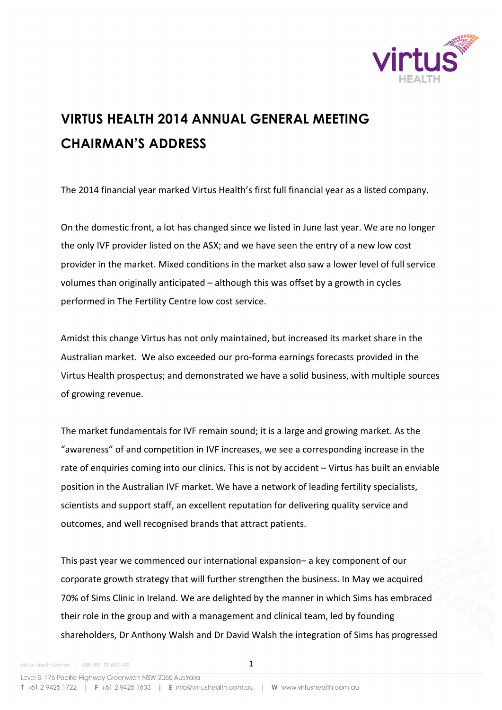

## **VIRTUS HEALTH 2014 ANNUAL GENERAL MEETING CHAIRMAN'S ADDRESS**

The 2014 financial year marked Virtus Health's first full financial year as a listed company.

On the domestic front, a lot has changed since we listed in June last year. We are no longer the only IVF provider listed on the ASX; and we have seen the entry of a new low cost provider in the market. Mixed conditions in the market also saw a lower level of full service volumes than originally anticipated – although this was offset by a growth in cycles performed in The Fertility Centre low cost service.

Amidst this change Virtus has not only maintained, but increased its market share in the Australian market. We also exceeded our pro-forma earnings forecasts provided in the Virtus Health prospectus; and demonstrated we have a solid business, with multiple sources of growing revenue.

The market fundamentals for IVF remain sound; it is a large and growing market. As the "awareness" of and competition in IVF increases, we see a corresponding increase in the rate of enquiries coming into our clinics. This is not by accident  $-$  Virtus has built an enviable position in the Australian IVF market. We have a network of leading fertility specialists, scientists and support staff, an excellent reputation for delivering quality service and outcomes, and well recognised brands that attract patients.

This past year we commenced our international expansion– a key component of our corporate growth strategy that will further strengthen the business. In May we acquired 70% of Sims Clinic in Ireland. We are delighted by the manner in which Sims has embraced their role in the group and with a management and clinical team, led by founding shareholders, Dr Anthony Walsh and Dr David Walsh the integration of Sims has progressed

Level 3, 176 Pacific Highway Greenwich NSW 2065 Australia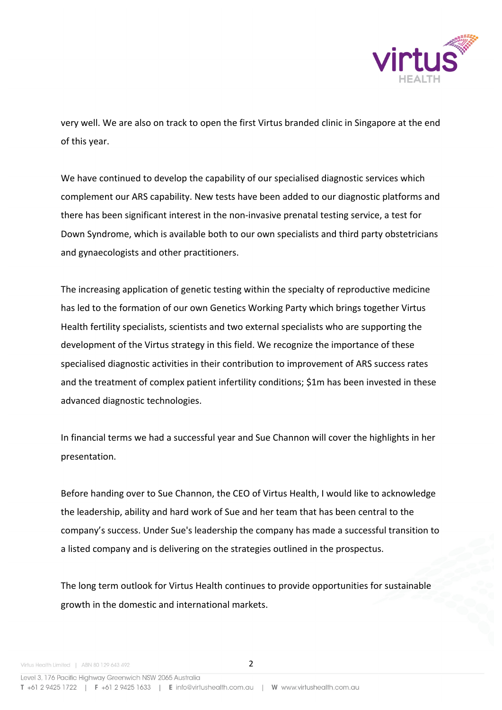

very well. We are also on track to open the first Virtus branded clinic in Singapore at the end of this year.

We have continued to develop the capability of our specialised diagnostic services which complement our ARS capability. New tests have been added to our diagnostic platforms and there has been significant interest in the non-invasive prenatal testing service, a test for Down Syndrome, which is available both to our own specialists and third party obstetricians and gynaecologists and other practitioners.

The increasing application of genetic testing within the specialty of reproductive medicine has led to the formation of our own Genetics Working Party which brings together Virtus Health fertility specialists, scientists and two external specialists who are supporting the development of the Virtus strategy in this field. We recognize the importance of these specialised diagnostic activities in their contribution to improvement of ARS success rates and the treatment of complex patient infertility conditions; \$1m has been invested in these advanced diagnostic technologies.

In financial terms we had a successful year and Sue Channon will cover the highlights in her presentation.

Before handing over to Sue Channon, the CEO of Virtus Health, I would like to acknowledge the leadership, ability and hard work of Sue and her team that has been central to the company's success. Under Sue's leadership the company has made a successful transition to a listed company and is delivering on the strategies outlined in the prospectus.

The long term outlook for Virtus Health continues to provide opportunities for sustainable growth in the domestic and international markets.

Level 3, 176 Pacific Highway Greenwich NSW 2065 Australia